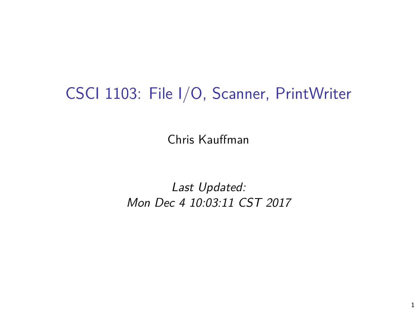# CSCI 1103: File I/O, Scanner, PrintWriter

Chris Kauffman

Last Updated: Mon Dec 4 10:03:11 CST 2017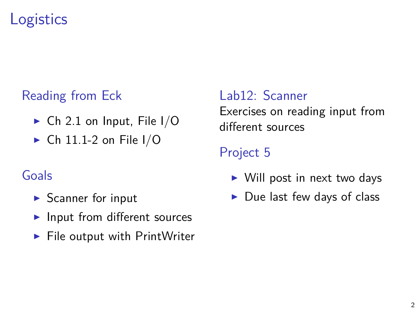## **Logistics**

#### Reading from Eck

- $\triangleright$  Ch 2.1 on Input, File I/O
- $\triangleright$  Ch 11.1-2 on File I/O

#### Goals

- $\blacktriangleright$  Scanner for input
- $\blacktriangleright$  Input from different sources
- $\blacktriangleright$  File output with PrintWriter

Lab12: Scanner Exercises on reading input from different sources

#### Project 5

- $\triangleright$  Will post in next two days
- $\blacktriangleright$  Due last few days of class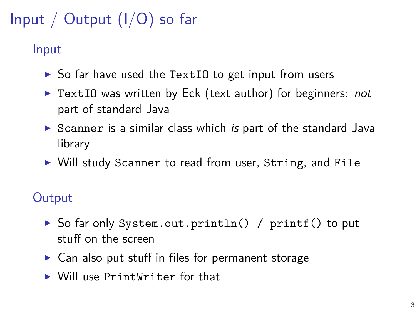# Input / Output (I/O) so far

#### Input

- $\triangleright$  So far have used the TextIO to get input from users
- $\triangleright$  TextIO was written by Eck (text author) for beginners: not part of standard Java
- Scanner is a similar class which is part of the standard Java library
- $\triangleright$  Will study Scanner to read from user, String, and File

#### **Output**

- ▶ So far only System.out.println() / printf() to put stuff on the screen
- $\triangleright$  Can also put stuff in files for permanent storage
- $\triangleright$  Will use PrintWriter for that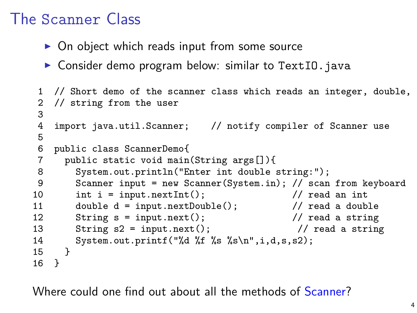### The Scanner Class

- $\triangleright$  On object which reads input from some source
- $\triangleright$  Consider demo program below: similar to TextIO.java

```
1 // Short demo of the scanner class which reads an integer, double,
 2 // string from the user
3
   import java.util.Scanner; // notify compiler of Scanner use
5
6 public class ScannerDemo{
      public static void main(String args[]){
8 System.out.println("Enter int double string:");<br>9 Scanner input = new Scanner(System.in): // scan
       9 Scanner input = new Scanner(System.in); // scan from keyboard
10 int i = input.nextInt(); \frac{1}{2} // read an int
11 double d = input.nextDouble(); // read a double
12 String s = input.next(); \frac{1}{2} / read a string
13 String s2 = input.next(); \frac{1}{2} read a string
14 System.out.printf("%d %f %s %s\n",i,d,s,s2);
15 }
16 }
```
Where could one find out about all the methods of [Scanner?](http://docs.oracle.com/javase/1.5.0/docs/api/java/util/Scanner.html)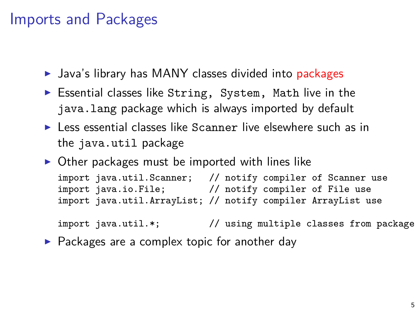#### Imports and Packages

- $\blacktriangleright$  Java's library has MANY classes divided into packages
- $\triangleright$  Essential classes like String, System, Math live in the java.lang package which is always imported by default
- $\blacktriangleright$  Less essential classes like Scanner live elsewhere such as in the java.util package
- $\triangleright$  Other packages must be imported with lines like

```
import java.util.Scanner; // notify compiler of Scanner use
import java.io.File; // notify compiler of File use
import java.util.ArrayList; // notify compiler ArrayList use
```

```
import java.util.*; // using multiple classes from package
```
 $\triangleright$  Packages are a complex topic for another day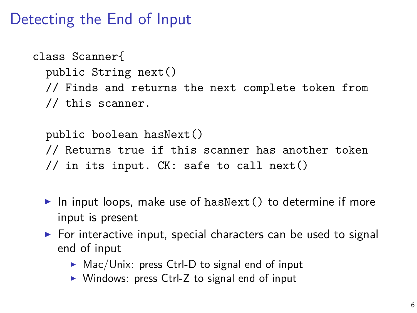### Detecting the End of Input

```
class Scanner{
  public String next()
  // Finds and returns the next complete token from
  // this scanner.
```
public boolean hasNext() // Returns true if this scanner has another token // in its input. CK: safe to call next()

- In input loops, make use of hasNext() to determine if more input is present
- $\triangleright$  For interactive input, special characters can be used to signal end of input
	- $\triangleright$  Mac/Unix: press Ctrl-D to signal end of input
	- $\triangleright$  Windows: press Ctrl-Z to signal end of input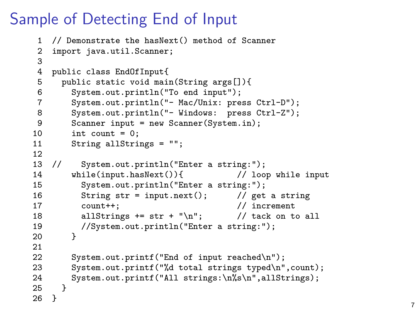## Sample of Detecting End of Input

```
1 // Demonstrate the hasNext() method of Scanner<br>2 import iava.util.Scanner:
     import java.util.Scanner;
 3
 4 public class EndOfInput{<br>5 public static void main
 5 public static void main(String args[]){<br>6 System.out.println("To end input");
 6 System.out.println("To end input");
 7 System.out.println("- Mac/Unix: press Ctrl-D");<br>8 System.out.println("- Windows: press Ctrl-Z");
 8 System.out.println("- Windows: press Ctrl-Z");<br>9 Scanner input = new Scanner(System.in):
9 Scanner input = new Scanner(System.in);<br>10 int count = 0:
           int count = 0;
11 String allStrings = "";
\begin{array}{cc} 12 \\ 13 \end{array} //
              System.out.println("Enter a string:");<br>iile(input.hasNext()){ // loop while input
14 while(input.hasNext()){<br>15 System.out.println("Enter a str
15 System.out.println("Enter a string:");<br>16 String str = input.next(); // get
              String str = input.next(); \frac{1}{2} // get a string
17 count++; // increment
18 allStrings += str + "\n"; // tack on to all
19 //System.out.println("Enter a string:");<br>20 }
20 }
21
22 System.out.printf("End of input reached\n");<br>23 System.out.printf("%d total strings typed\n"
23 System.out.printf("%d total strings typed\n",count);<br>24 System.out.printf("All strings:\n%s\n".allStrings):
        System.out.printf("All strings:\n%s\n",allStrings);<br>}
25 }
26 }
```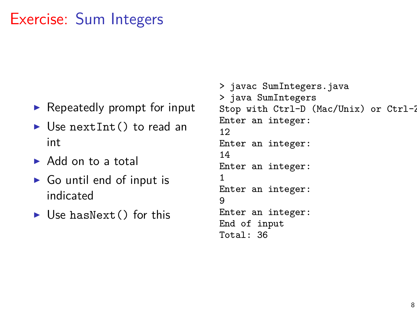### Exercise: Sum Integers

- $\blacktriangleright$  Repeatedly prompt for input
- $\blacktriangleright$  Use next Int () to read an int
- $\triangleright$  Add on to a total
- $\triangleright$  Go until end of input is indicated
- $\blacktriangleright$  Use hasNext() for this

> javac SumIntegers.java > java SumIntegers Stop with Ctrl-D (Mac/Unix) or Ctrl-2 Enter an integer: 12 Enter an integer: 14 Enter an integer: 1 Enter an integer: 9 Enter an integer: End of input Total: 36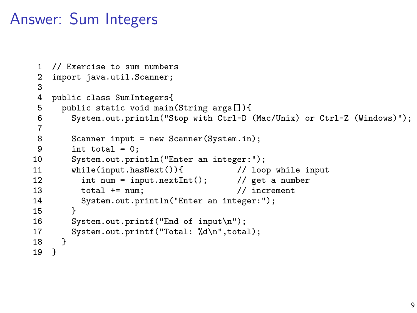### Answer: Sum Integers

```
1 // Exercise to sum numbers<br>2 import iava.util.Scanner:
     import java.util.Scanner;
 3
 4 public class SumIntegers{
 5 public static void main(String args[]){<br>6 System.out.println("Stop with Ctrl-D
           6 System.out.println("Stop with Ctrl-D (Mac/Unix) or Ctrl-Z (Windows)");
 \frac{7}{8}8 Scanner input = new Scanner(System.in);<br>9 int total = 0:
9 int total = 0;<br>10 System.out.pri
10 System.out.println("Enter an integer:");<br>11 while(input.hasNext()){ // loo
11 while(input.hasNext()){ // loop while input<br>12 int num = input.nextInt(); // get a number
12 int num = input.nextInt(); \frac{1}{2} get a num<br>13 total += num: \frac{1}{2} // increment.
13 total += num;<br>14 System.out.pr
           System.out.println("Enter an integer:");<br>}
\frac{15}{16}16 System.out.printf("End of input\n");<br>17 System.out.printf("Total: "Ad\n".tota
        System.out.printf("Total: %d\n",total);<br>}
18 }
19 }
```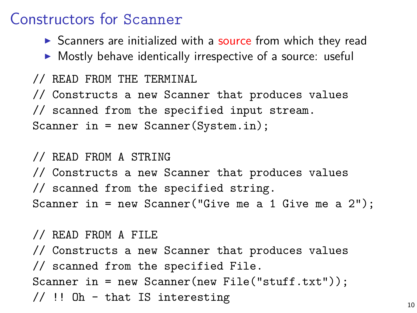#### Constructors for Scanner

- $\triangleright$  Scanners are initialized with a source from which they read
- $\triangleright$  Mostly behave identically irrespective of a source: useful

```
// READ FROM THE TERMINAL
// Constructs a new Scanner that produces values
// scanned from the specified input stream.
Scanner in = new Scanner(System.in);
```

```
// READ FROM A STRING
// Constructs a new Scanner that produces values
// scanned from the specified string.
Scanner in = new Scanner("Give me a 1 Give me a 2");
```
// READ FROM A FILE // Constructs a new Scanner that produces values // scanned from the specified File. Scanner in = new Scanner(new File("stuff.txt")); // !! Oh - that IS interesting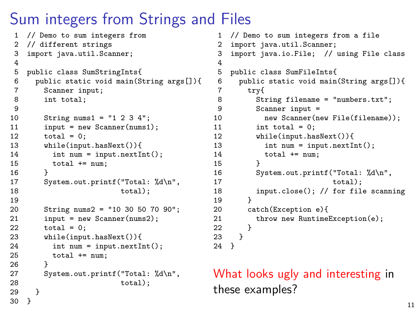## Sum integers from Strings and Files

```
1 // Demo to sum integers from<br>2 // different strings
    // different strings
 3 import java.util.Scanner;
 \frac{4}{5}5 public class SumStringInts{<br>6 public static void main(S)
 6 public static void main(String args[]){
 7 Scanner input;<br>8 int total:
          int total:
\frac{9}{10}10 String nums1 = "1 2 3 4";<br>11 input = new Scanner(nums1)
11 input = new Scanner(nums1);<br>12 total = 0:
12 total = 0;<br>13 while(inpu
13 while(input.hasNext()){<br>14 int num = input.next1
14 int num = input.nextInt();<br>15 total += num:
           total += num;<br>}
16<br>17
          System.out.printf("Total: %d\n",
18 total);
19<br>2020 String nums2 = "10 30 50 70 90";<br>21 input = new Scanner(nums2):
21 input = new Scanner(nums2);<br>22 total = 0:
          \text{total} = 0:
23 while(input.hasNext()){<br>24 int num = input next[1]
24 int num = input.nextInt();<br>25 total += num:
             total += num:26 }
          System.out.printf("Total: %d\n",
28 total);<br>29 }
29 }
30 }
```

```
1 // Demo to sum integers from a file<br>2 import java util Scanner:
 2 import java.util.Scanner;<br>3 import java.io.File: //
     import java.io.File: // using File class
 \frac{4}{5}5 public class SumFileInts{
 6 public static void main(String args[]){
 7 try{<br>8 St:
 8 String filename = "numbers.txt";<br>9 Scanner input =
9 Scanner input =<br>10 new Scanner(n)10 new Scanner(new File(filename));<br>11 int total = 0:
11 int total = 0;<br>12 while(input.ha
12 while(input.hasNext()){<br>13 int num = input next[1]
13 int num = input.nextInt();<br>14 total += num:
              total += num;<br>}
\frac{15}{16}16 System.out.printf("Total: %d\n",
                                       total):
18 input.close(); // for file scanning<br>19
\frac{19}{20}20 catch(Exception e){<br>21 throw new Runtime
              \frac{1}{2} throw new RuntimeException(e):
22 }
\begin{matrix} 23 \\ 24 \end{matrix} }
24 }
```
What looks ugly and interesting in these examples?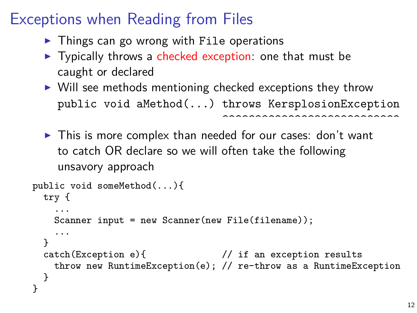# Exceptions when Reading from Files

- $\triangleright$  Things can go wrong with File operations
- $\triangleright$  Typically throws a checked exception: one that must be caught or declared
- $\triangleright$  Will see methods mentioning checked exceptions they throw public void aMethod(...) throws KersplosionException ^^^^^^^^^^^^^^^^^^^^^^^^^^^
- $\blacktriangleright$  This is more complex than needed for our cases: don't want to catch OR declare so we will often take the following unsavory approach

```
public void someMethod(...){
 try {
    ...
   Scanner input = new Scanner(new File(filename));
    ...
  }
  catch(Exception e){ // if an exception results
   throw new RuntimeException(e); // re-throw as a RuntimeException
  }
}
```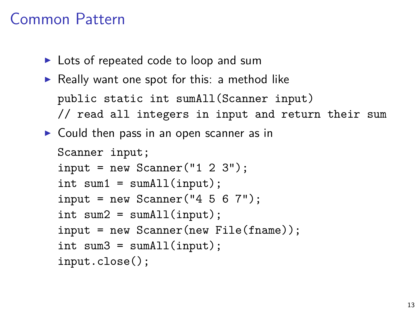### Common Pattern

- $\triangleright$  Lots of repeated code to loop and sum
- $\triangleright$  Really want one spot for this: a method like public static int sumAll(Scanner input) // read all integers in input and return their sum
- $\triangleright$  Could then pass in an open scanner as in

```
Scanner input;
input = new Scanner("1 2 3");int sum1 = sumAll(input);input = new Scanner("4 5 6 7");
int sum2 = sumAll(input);input = new Scanner(new File(fname));
int sum3 = sumAll(input);input.close();
```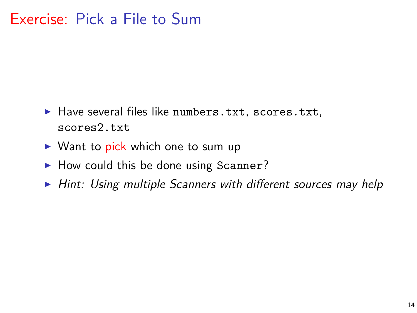### Exercise: Pick a File to Sum

- $\blacktriangleright$  Have several files like numbers.txt, scores.txt, scores2.txt
- $\triangleright$  Want to pick which one to sum up
- $\blacktriangleright$  How could this be done using Scanner?
- $\triangleright$  Hint: Using multiple Scanners with different sources may help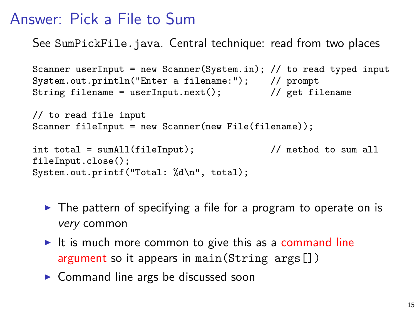### Answer: Pick a File to Sum

See SumPickFile.java. Central technique: read from two places

```
Scanner userInput = new Scanner(System.in); // to read typed input
System.out.println("Enter a filename:"); // prompt
String filename = userInput.next(); \frac{1}{2} get filename
// to read file input
Scanner fileInput = new Scanner(new File(filename));int total = sumAll(fileInput); // method to sum all
fileInput.close();
System.out.printf("Total: %d\n", total);
```
- $\triangleright$  The pattern of specifying a file for a program to operate on is very common
- It is much more common to give this as a command line argument so it appears in main(String args[])
- $\triangleright$  Command line args be discussed soon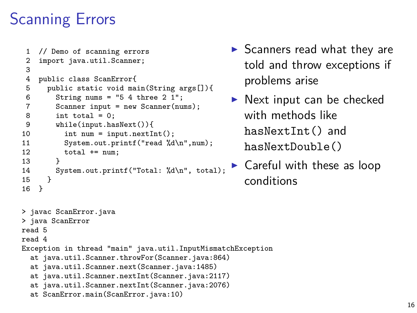# Scanning Errors

```
1 // Demo of scanning errors
 2 import java.util.Scanner;
 3
 4 public class ScanError{<br>5 public static void ma
 5 public static void main(String args[]){<br>6 String nums = "5 4 three 2 1":
 6 String nums = "5 4 three 2 1";
 7 Scanner input = new Scanner(nums);<br>8 int total = 0:
 8 int total = 0;<br>9 while(input.ha
9 while(input.hasNext()){<br>10 int num = input.next1
10 int num = input.nextInt();<br>11 System.out.printf("read %d
11 System.out.printf("read \lambda d \nmid num);<br>12 total += num:
           total += num;
\frac{13}{14}System.out.printf("Total: %d\n", total);<br>}
15 }
16 }
```
- $\blacktriangleright$  Scanners read what they are told and throw exceptions if problems arise
- $\blacktriangleright$  Next input can be checked with methods like hasNextInt() and hasNextDouble()
- $\blacktriangleright$  Careful with these as loop conditions

```
> javac ScanError.java
> java ScanError
read 5
read 4
Exception in thread "main" java.util.InputMismatchException
  at java.util.Scanner.throwFor(Scanner.java:864)
  at java.util.Scanner.next(Scanner.java:1485)
  at java.util.Scanner.nextInt(Scanner.java:2117)
  at java.util.Scanner.nextInt(Scanner.java:2076)
  at ScanError.main(ScanError.java:10)
```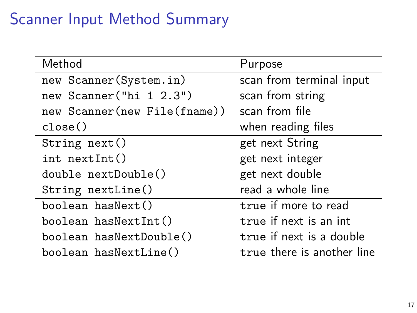# Scanner Input Method Summary

| Method                       | Purpose                    |
|------------------------------|----------------------------|
| new Scanner (System.in)      | scan from terminal input   |
| new Scanner ("hi 1 2.3")     | scan from string           |
| new Scanner(new File(fname)) | scan from file             |
| close()                      | when reading files         |
| String next()                | get next String            |
| $int$ nextInt()              | get next integer           |
| double nextDouble()          | get next double            |
| String nextLine()            | read a whole line          |
| boolean hasNext()            | true if more to read       |
| boolean hasNextInt()         | true if next is an int     |
| boolean hasNextDouble()      | true if next is a double   |
| boolean hasNextLine()        | true there is another line |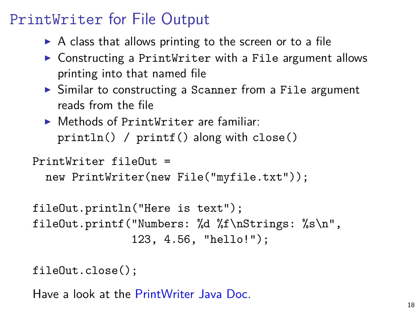## PrintWriter for File Output

- $\triangleright$  A class that allows printing to the screen or to a file
- $\triangleright$  Constructing a PrintWriter with a File argument allows printing into that named file
- $\triangleright$  Similar to constructing a Scanner from a File argument reads from the file
- $\triangleright$  Methods of PrintWriter are familiar: println() / printf() along with close()

PrintWriter fileOut =

```
new PrintWriter(new File("myfile.txt"));
```

```
fileOut.println("Here is text");
fileOut.printf("Numbers: %d %f\nStrings: %s\n",
               123, 4.56, "hello!");
```

```
fileOut.close();
```
Have a look at the [PrintWriter Java Doc.](http://docs.oracle.com/javase/7/docs/api/java/io/PrintWriter.html)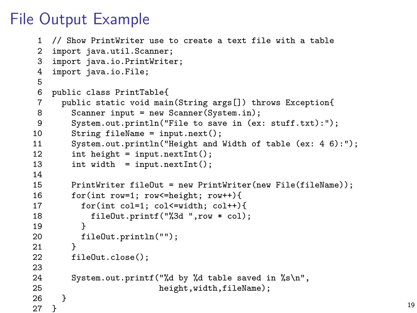### File Output Example

```
1 // Show PrintWriter use to create a text file with a table
 2 import java.util.Scanner;<br>3 import java.io.PrintWrite
 3 import java.io.PrintWriter;<br>4 import java.io.File:
    import java.io.File;
 5
 6 public class PrintTable{
       public static void main(String args[]) throws Exception{
 8 Scanner input = new Scanner(System.in);<br>9 System.out.println("File to save in (ex
9 System.out.println("File to save in (ex: stuff.txt):");<br>10 String fileName = input.next():
10 String fileName = input.next();<br>11 System.out.println("Height and \;
11 System.out.println("Height and Width of table (ex: 4 6):");<br>12 int height = input.nextInt():
12 int height = input.nextInt();<br>13 int width = input.nextInt();
         int width = input.nextInt();14<br>1515 PrintWriter fileOut = new PrintWriter(new File(fileName));<br>16 for(int row=1: row<=height: row++){
         for(int row=1; row=height; row++){
17 for(int col=1; col<=width; col++){
18 fileOut.printf("%3d ",row * col);<br>19 }
19 }
20 fileOut.println("");<br>21 }
21 }
22 fileOut.close();
\frac{23}{24}24 System.out.printf("%d by %d table saved in %s\n",<br>25 height width fileName).
       height,width,fileName);
\frac{26}{27}27 } 19
```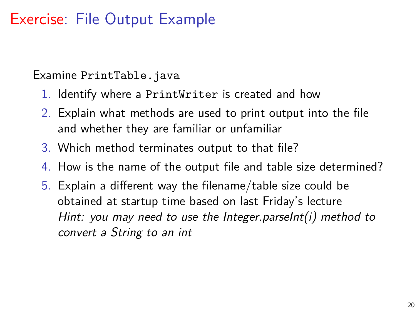### Exercise: File Output Example

#### Examine PrintTable.java

- 1. Identify where a PrintWriter is created and how
- 2. Explain what methods are used to print output into the file and whether they are familiar or unfamiliar
- 3. Which method terminates output to that file?
- 4. How is the name of the output file and table size determined?
- 5. Explain a different way the filename/table size could be obtained at startup time based on last Friday's lecture Hint: you may need to use the Integer.parseInt(i) method to convert a String to an int